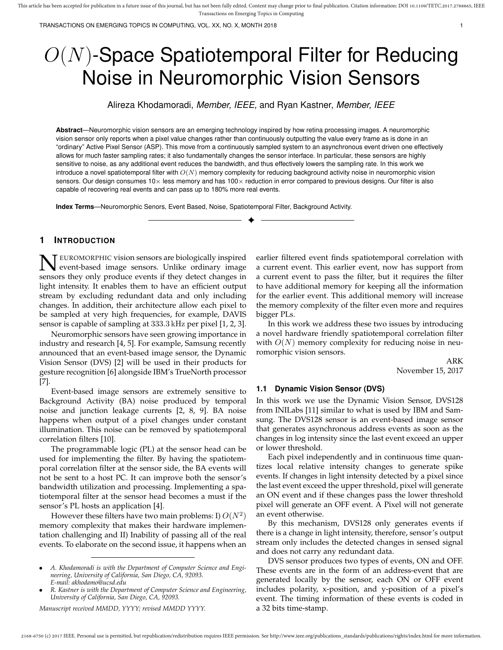TRANSACTIONS ON EMERGING TOPICS IN COMPUTING, VOL. XX, NO. X, MONTH 2018 1

# $O(N)$ -Space Spatiotemporal Filter for Reducing Noise in Neuromorphic Vision Sensors

Alireza Khodamoradi, *Member, IEEE,* and Ryan Kastner, *Member, IEEE*

**Abstract**—Neuromorphic vision sensors are an emerging technology inspired by how retina processing images. A neuromorphic vision sensor only reports when a pixel value changes rather than continuously outputting the value every frame as is done in an "ordinary" Active Pixel Sensor (ASP). This move from a continuously sampled system to an asynchronous event driven one effectively allows for much faster sampling rates; it also fundamentally changes the sensor interface. In particular, these sensors are highly sensitive to noise, as any additional event reduces the bandwidth, and thus effectively lowers the sampling rate. In this work we introduce a novel spatiotemporal filter with  $O(N)$  memory complexity for reducing background activity noise in neuromorphic vision sensors. Our design consumes 10× less memory and has 100× reduction in error compared to previous designs. Our filter is also capable of recovering real events and can pass up to 180% more real events.

✦

**Index Terms**—Neuromorphic Senors, Event Based, Noise, Spatiotemporal Filter, Background Activity.

# **1 INTRODUCTION**

**N** EUROMORPHIC vision sensors are biologically inspired event-based image sensors. Unlike ordinary image sensors they only produce events if they detect changes in EUROMORPHIC vision sensors are biologically inspired event-based image sensors. Unlike ordinary image light intensity. It enables them to have an efficient output stream by excluding redundant data and only including changes. In addition, their architecture allow each pixel to be sampled at very high frequencies, for example, DAVIS sensor is capable of sampling at 333.3 kHz per pixel [1, 2, 3].

Neuromorphic sensors have seen growing importance in industry and research [4, 5]. For example, Samsung recently announced that an event-based image sensor, the Dynamic Vision Sensor (DVS) [2] will be used in their products for gesture recognition [6] alongside IBM's TrueNorth processor [7].

Event-based image sensors are extremely sensitive to Background Activity (BA) noise produced by temporal noise and junction leakage currents [2, 8, 9]. BA noise happens when output of a pixel changes under constant illumination. This noise can be removed by spatiotemporal correlation filters [10].

The programmable logic (PL) at the sensor head can be used for implementing the filter. By having the spatiotemporal correlation filter at the sensor side, the BA events will not be sent to a host PC. It can improve both the sensor's bandwidth utilization and processing. Implementing a spatiotemporal filter at the sensor head becomes a must if the sensor's PL hosts an application [4].

However these filters have two main problems: I)  $O(N^2)$ memory complexity that makes their hardware implementation challenging and II) Inability of passing all of the real events. To elaborate on the second issue, it happens when an

*Manuscript received MMDD, YYYY; revised MMDD YYYY.*

earlier filtered event finds spatiotemporal correlation with a current event. This earlier event, now has support from a current event to pass the filter, but it requires the filter to have additional memory for keeping all the information for the earlier event. This additional memory will increase the memory complexity of the filter even more and requires bigger PLs.

In this work we address these two issues by introducing a novel hardware friendly spatiotemporal correlation filter with  $O(N)$  memory complexity for reducing noise in neuromorphic vision sensors.

> ARK November 15, 2017

## **1.1 Dynamic Vision Sensor (DVS)**

In this work we use the Dynamic Vision Sensor, DVS128 from INILabs [11] similar to what is used by IBM and Samsung. The DVS128 sensor is an event-based image sensor that generates asynchronous address events as soon as the changes in log intensity since the last event exceed an upper or lower threshold.

Each pixel independently and in continuous time quantizes local relative intensity changes to generate spike events. If changes in light intensity detected by a pixel since the last event exceed the upper threshold, pixel will generate an ON event and if these changes pass the lower threshold pixel will generate an OFF event. A Pixel will not generate an event otherwise.

By this mechanism, DVS128 only generates events if there is a change in light intensity, therefore, sensor's output stream only includes the detected changes in sensed signal and does not carry any redundant data.

DVS sensor produces two types of events, ON and OFF. These events are in the form of an address-event that are generated locally by the sensor, each ON or OFF event includes polarity, x-position, and y-position of a pixel's event. The timing information of these events is coded in a 32 bits time-stamp.

<sup>•</sup> *A. Khodamoradi is with the Department of Computer Science and Engineering, University of California, San Diego, CA, 92093. E-mail: akhodamo@ucsd.edu*

<sup>•</sup> *R. Kastner is with the Department of Computer Science and Engineering, University of California, San Diego, CA, 92093.*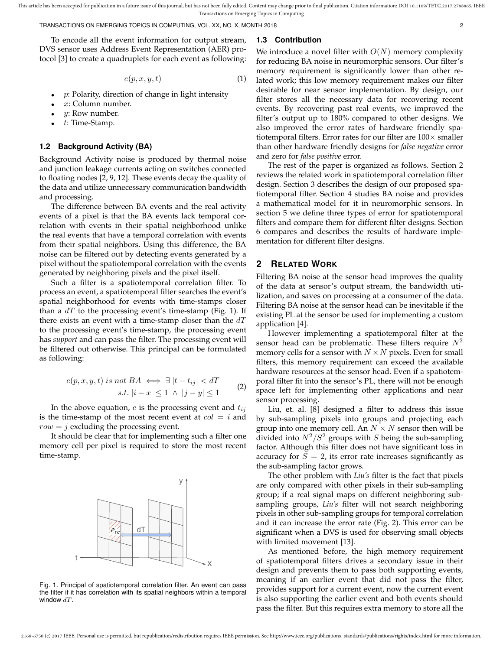TRANSACTIONS ON EMERGING TOPICS IN COMPUTING, VOL. XX, NO. X, MONTH 2018 2

To encode all the event information for output stream, DVS sensor uses Address Event Representation (AER) protocol [3] to create a quadruplets for each event as following:

$$
e(p,x,y,t) \tag{1}
$$

- $p$ : Polarity, direction of change in light intensity
- $x:$  Column number.
- $y$ : Row number.
- t: Time-Stamp.

#### **1.2 Background Activity (BA)**

Background Activity noise is produced by thermal noise and junction leakage currents acting on switches connected to floating nodes [2, 9, 12]. These events decay the quality of the data and utilize unnecessary communication bandwidth and processing.

The difference between BA events and the real activity events of a pixel is that the BA events lack temporal correlation with events in their spatial neighborhood unlike the real events that have a temporal correlation with events from their spatial neighbors. Using this difference, the BA noise can be filtered out by detecting events generated by a pixel without the spatiotemporal correlation with the events generated by neighboring pixels and the pixel itself.

Such a filter is a spatiotemporal correlation filter. To process an event, a spatiotemporal filter searches the event's spatial neighborhood for events with time-stamps closer than a  $dT$  to the processing event's time-stamp (Fig. 1). If there exists an event with a time-stamp closer than the  $dT$ to the processing event's time-stamp, the processing event has *support* and can pass the filter. The processing event will be filtered out otherwise. This principal can be formulated as following:

$$
e(p, x, y, t) \text{ is not } BA \iff \exists |t - t_{ij}| < d
$$
\n
$$
\text{s.t. } |i - x| \le 1 \land |j - y| \le 1 \tag{2}
$$

In the above equation,  $e$  is the processing event and  $t_{ij}$ is the time-stamp of the most recent event at  $col = i$  and  $row = j$  excluding the processing event.

It should be clear that for implementing such a filter one memory cell per pixel is required to store the most recent time-stamp.



Fig. 1. Principal of spatiotemporal correlation filter. An event can pass the filter if it has correlation with its spatial neighbors within a temporal window  $dT$ .

## **1.3 Contribution**

We introduce a novel filter with  $O(N)$  memory complexity for reducing BA noise in neuromorphic sensors. Our filter's memory requirement is significantly lower than other related work; this low memory requirement makes our filter desirable for near sensor implementation. By design, our filter stores all the necessary data for recovering recent events. By recovering past real events, we improved the filter's output up to 180% compared to other designs. We also improved the error rates of hardware friendly spatiotemporal filters. Error rates for our filter are  $100\times$  smaller than other hardware friendly designs for *false negative* error and zero for *false positive* error.

The rest of the paper is organized as follows. Section 2 reviews the related work in spatiotemporal correlation filter design. Section 3 describes the design of our proposed spatiotemporal filter. Section 4 studies BA noise and provides a mathematical model for it in neuromorphic sensors. In section 5 we define three types of error for spatiotemporal filters and compare them for different filter designs. Section 6 compares and describes the results of hardware implementation for different filter designs.

## **2 RELATED WORK**

Filtering BA noise at the sensor head improves the quality of the data at sensor's output stream, the bandwidth utilization, and saves on processing at a consumer of the data. Filtering BA noise at the sensor head can be inevitable if the existing PL at the sensor be used for implementing a custom application [4].

However implementing a spatiotemporal filter at the sensor head can be problematic. These filters require  $N^2$ memory cells for a sensor with  $N \times N$  pixels. Even for small filters, this memory requirement can exceed the available hardware resources at the sensor head. Even if a spatiotemporal filter fit into the sensor's PL, there will not be enough space left for implementing other applications and near sensor processing.

Liu, et. al. [8] designed a filter to address this issue by sub-sampling pixels into groups and projecting each group into one memory cell. An  $N \times N$  sensor then will be divided into  $N^2/S^2$  groups with S being the sub-sampling factor. Although this filter does not have significant loss in accuracy for  $S = 2$ , its error rate increases significantly as the sub-sampling factor grows.

The other problem with *Liu's* filter is the fact that pixels are only compared with other pixels in their sub-sampling group; if a real signal maps on different neighboring subsampling groups, *Liu's* filter will not search neighboring pixels in other sub-sampling groups for temporal correlation and it can increase the error rate (Fig. 2). This error can be significant when a DVS is used for observing small objects with limited movement [13].

As mentioned before, the high memory requirement of spatiotemporal filters drives a secondary issue in their design and prevents them to pass both supporting events, meaning if an earlier event that did not pass the filter, provides support for a current event, now the current event is also supporting the earlier event and both events should pass the filter. But this requires extra memory to store all the

2168-6750 (c) 2017 IEEE. Personal use is permitted, but republication/redistribution requires IEEE permission. See http://www.ieee.org/publications\_standards/publications/rights/index.html for more information.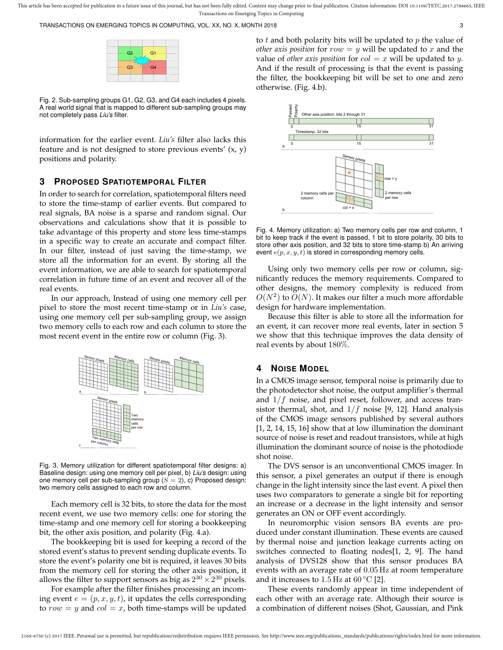TRANSACTIONS ON EMERGING TOPICS IN COMPUTING, VOL. XX, NO. X, MONTH 2018 3

| G2 | G <sub>1</sub> |  |
|----|----------------|--|
|    | FULLE          |  |
| G3 | G4             |  |
|    |                |  |
|    |                |  |

Fig. 2. Sub-sampling groups G1, G2, G3, and G4 each includes 4 pixels. A real world signal that is mapped to different sub-sampling groups may not completely pass *Liu's* filter.

information for the earlier event. *Liu's* filter also lacks this feature and is not designed to store previous events'  $(x, y)$ positions and polarity.

## **3 PROPOSED SPATIOTEMPORAL FILTER**

In order to search for correlation, spatiotemporal filters need to store the time-stamp of earlier events. But compared to real signals, BA noise is a sparse and random signal. Our observations and calculations show that it is possible to take advantage of this property and store less time-stamps in a specific way to create an accurate and compact filter. In our filter, instead of just saving the time-stamp, we store all the information for an event. By storing all the event information, we are able to search for spatiotemporal correlation in future time of an event and recover all of the real events.

In our approach, Instead of using one memory cell per pixel to store the most recent time-stamp or in *Liu's* case, using one memory cell per sub-sampling group, we assign two memory cells to each row and each column to store the most recent event in the entire row or column (Fig. 3).



Fig. 3. Memory utilization for different spatiotemporal filter designs: a) Baseline design: using one memory cell per pixel, b) *Liu's* design: using one memory cell per sub-sampling group  $(S = 2)$ , c) Proposed design: two memory cells assigned to each row and column.

Each memory cell is 32 bits, to store the data for the most recent event, we use two memory cells: one for storing the time-stamp and one memory cell for storing a bookkeeping bit, the other axis position, and polarity (Fig. 4.a).

The bookkeeping bit is used for keeping a record of the stored event's status to prevent sending duplicate events. To store the event's polarity one bit is required, it leaves 30 bits from the memory cell for storing the other axis position, it allows the filter to support sensors as big as  $2^{30} \times 2^{30}$  pixels.

For example after the filter finishes processing an incoming event  $e = (p, x, y, t)$ , it updates the cells corresponding to  $row = y$  and  $col = x$ , both time-stamps will be updated to  $t$  and both polarity bits will be updated to  $p$  the value of *other axis position* for  $row = y$  will be updated to x and the value of *other axis position* for  $col = x$  will be updated to y. And if the result of processing is that the event is passing the filter, the bookkeeping bit will be set to one and zero otherwise. (Fig. 4.b).



Fig. 4. Memory utilization: a) Two memory cells per row and column, 1 bit to keep track if the event is passed, 1 bit to store polarity, 30 bits to store other axis position, and 32 bits to store time-stamp b) An arriving event  $e(p, x, y, t)$  is stored in corresponding memory cells.

Using only two memory cells per row or column, significantly reduces the memory requirements. Compared to other designs, the memory complexity is reduced from  $O(N^2)$  to  $O(N)$ . It makes our filter a much more affordable design for hardware implementation.

Because this filter is able to store all the information for an event, it can recover more real events, later in section 5 we show that this technique improves the data density of real events by about 180%.

## **4 NOISE MODEL**

In a CMOS image sensor, temporal noise is primarily due to the photodetector shot noise, the output amplifier's thermal and  $1/f$  noise, and pixel reset, follower, and access transistor thermal, shot, and  $1/f$  noise [9, 12]. Hand analysis of the CMOS image sensors published by several authors [1, 2, 14, 15, 16] show that at low illumination the dominant source of noise is reset and readout transistors, while at high illumination the dominant source of noise is the photodiode shot noise.

The DVS sensor is an unconventional CMOS imager. In this sensor, a pixel generates an output if there is enough change in the light intensity since the last event. A pixel then uses two comparators to generate a single bit for reporting an increase or a decrease in the light intensity and sensor generates an ON or OFF event accordingly.

In neuromorphic vision sensors BA events are produced under constant illumination. These events are caused by thermal noise and junction leakage currents acting on switches connected to floating nodes[1, 2, 9]. The hand analysis of DVS128 show that this sensor produces BA events with an average rate of 0.05 Hz at room temperature and it increases to  $1.5 \text{ Hz}$  at  $60 \degree \text{C}$  [2].

These events randomly appear in time independent of each other with an average rate. Although their source is a combination of different noises (Shot, Gaussian, and Pink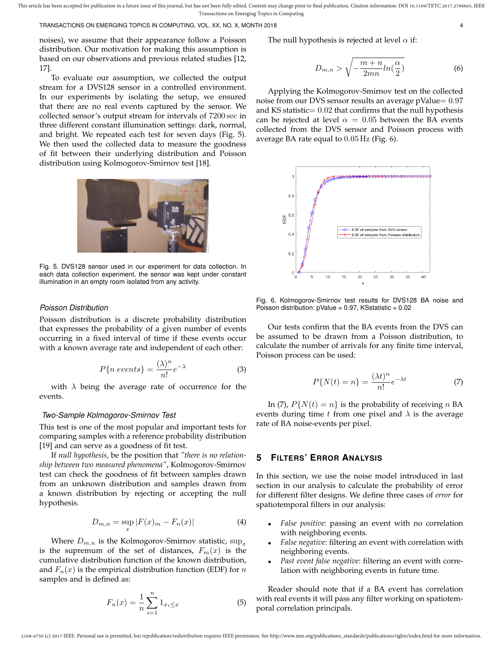TRANSACTIONS ON EMERGING TOPICS IN COMPUTING, VOL. XX, NO. X, MONTH 2018 4

noises), we assume that their appearance follow a Poisson distribution. Our motivation for making this assumption is based on our observations and previous related studies [12, 17].

To evaluate our assumption, we collected the output stream for a DVS128 sensor in a controlled environment. In our experiments by isolating the setup, we ensured that there are no real events captured by the sensor. We collected sensor's output stream for intervals of 7200 sec in three different constant illumination settings: dark, normal, and bright. We repeated each test for seven days (Fig. 5). We then used the collected data to measure the goodness of fit between their underlying distribution and Poisson distribution using Kolmogorov-Smirnov test [18].



Fig. 5. DVS128 sensor used in our experiment for data collection. In each data collection experiment, the sensor was kept under constant illumination in an empty room isolated from any activity.

## *Poisson Distribution*

Poisson distribution is a discrete probability distribution that expresses the probability of a given number of events occurring in a fixed interval of time if these events occur with a known average rate and independent of each other:

$$
P\{n\ events\} = \frac{(\lambda)^n}{n!}e^{-\lambda} \tag{3}
$$

with  $\lambda$  being the average rate of occurrence for the events.

#### *Two-Sample Kolmogorov-Smirnov Test*

This test is one of the most popular and important tests for comparing samples with a reference probability distribution [19] and can serve as a goodness of fit test.

If *null hypothesis*, be the position that *"there is no relationship between two measured phenomena"*, Kolmogorov-Smirnov test can check the goodness of fit between samples drawn from an unknown distribution and samples drawn from a known distribution by rejecting or accepting the null hypothesis.

$$
D_{m,n} = \sup_x |F(x)_m - F_n(x)| \tag{4}
$$

Where  $D_{m,n}$  is the Kolmogorov-Smirnov statistic,  $\sup_x$ is the supremum of the set of distances,  $F_m(x)$  is the cumulative distribution function of the known distribution, and  $F_n(x)$  is the empirical distribution function (EDF) for n samples and is defined as:

$$
F_n(x) = \frac{1}{n} \sum_{i=1}^n 1_{x_i \le x} \tag{5}
$$

The null hypothesis is rejected at level  $\alpha$  if:

$$
D_{m,n} > \sqrt{-\frac{m+n}{2mn}ln(\frac{\alpha}{2})}
$$
 (6)

Applying the Kolmogorov-Smirnov test on the collected noise from our DVS sensor results an average pValue=  $0.97$ and KS statistic=  $0.02$  that confirms that the null hypothesis can be rejected at level  $\alpha = 0.05$  between the BA events collected from the DVS sensor and Poisson process with average BA rate equal to 0.05 Hz (Fig. 6).



Fig. 6. Kolmogorov-Smirnov test results for DVS128 BA noise and Poisson distribution:  $pValue = 0.97$ , KSstatistic =  $0.02$ 

Our tests confirm that the BA events from the DVS can be assumed to be drawn from a Poisson distribution, to calculate the number of arrivals for any finite time interval, Poisson process can be used:

$$
P\{N(t) = n\} = \frac{(\lambda t)^n}{n!} e^{-\lambda t}
$$
 (7)

In (7),  $P\{N(t) = n\}$  is the probability of receiving n BA events during time t from one pixel and  $\lambda$  is the average rate of BA noise-events per pixel.

# **5 FILTERS' ERROR ANALYSIS**

In this section, we use the noise model introduced in last section in our analysis to calculate the probability of error for different filter designs. We define three cases of *error* for spatiotemporal filters in our analysis:

- *False positive*: passing an event with no correlation with neighboring events.
- *False negative*: filtering an event with correlation with neighboring events.
- *Past event false negative*: filtering an event with correlation with neighboring events in future time.

Reader should note that if a BA event has correlation with real events it will pass any filter working on spatiotemporal correlation principals.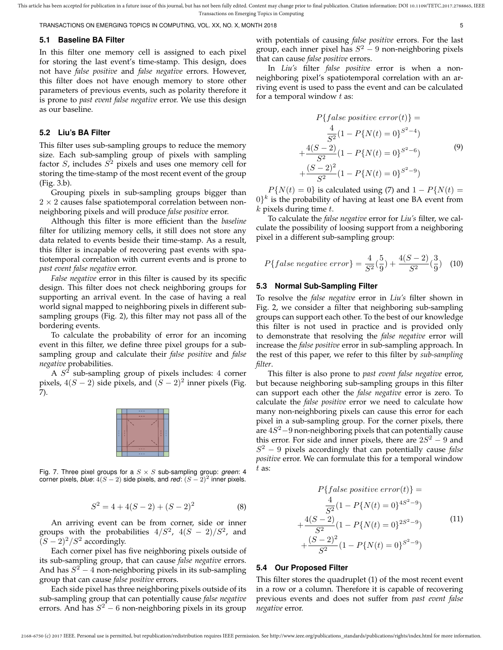TRANSACTIONS ON EMERGING TOPICS IN COMPUTING, VOL. XX, NO. X, MONTH 2018 5

#### **5.1 Baseline BA Filter**

In this filter one memory cell is assigned to each pixel for storing the last event's time-stamp. This design, does not have *false positive* and *false negative* errors. However, this filter does not have enough memory to store other parameters of previous events, such as polarity therefore it is prone to *past event false negative* error. We use this design as our baseline.

## **5.2 Liu's BA Filter**

This filter uses sub-sampling groups to reduce the memory size. Each sub-sampling group of pixels with sampling factor S, includes  $S^2$  pixels and uses one memory cell for storing the time-stamp of the most recent event of the group (Fig. 3.b).

Grouping pixels in sub-sampling groups bigger than  $2 \times 2$  causes false spatiotemporal correlation between nonneighboring pixels and will produce *false positive* error.

Although this filter is more efficient than the *baseline* filter for utilizing memory cells, it still does not store any data related to events beside their time-stamp. As a result, this filter is incapable of recovering past events with spatiotemporal correlation with current events and is prone to *past event false negative* error.

*False negative* error in this filter is caused by its specific design. This filter does not check neighboring groups for supporting an arrival event. In the case of having a real world signal mapped to neighboring pixels in different subsampling groups (Fig. 2), this filter may not pass all of the bordering events.

To calculate the probability of error for an incoming event in this filter, we define three pixel groups for a subsampling group and calculate their *false positive* and *false negative* probabilities.

A  $S<sup>2</sup>$  sub-sampling group of pixels includes: 4 corner pixels,  $4(S-2)$  side pixels, and  $(S-2)^2$  inner pixels (Fig. 7).



Fig. 7. Three pixel groups for a  $S \times S$  sub-sampling group: *green*: 4 corner pixels, *blue*:  $4(S - 2)$  side pixels, and *red*:  $(S - 2)^2$  inner pixels.

$$
S^2 = 4 + 4(S - 2) + (S - 2)^2
$$
 (8)

An arriving event can be from corner, side or inner groups with the probabilities  $4/S^2$ ,  $4(S-2)/S^2$ , and  $(S-2)^2/S^2$  accordingly.

Each corner pixel has five neighboring pixels outside of its sub-sampling group, that can cause *false negative* errors. And has  $S^2 - 4$  non-neighboring pixels in its sub-sampling group that can cause *false positive* errors.

Each side pixel has three neighboring pixels outside of its sub-sampling group that can potentially cause *false negative* errors. And has  $S^2$  – 6 non-neighboring pixels in its group with potentials of causing *false positive* errors. For the last group, each inner pixel has  $S^2-9$  non-neighboring pixels that can cause *false positive* errors.

In *Liu's* filter *false positive* error is when a nonneighboring pixel's spatiotemporal correlation with an arriving event is used to pass the event and can be calculated for a temporal window  $t$  as:

$$
P\{false\ positive\ error(t)\} =
$$
  
\n
$$
\frac{4}{S^2}(1 - P\{N(t) = 0\}^{S^2 - 4})
$$
  
\n
$$
+\frac{4(S-2)}{S^2}(1 - P\{N(t) = 0\}^{S^2 - 6})
$$
  
\n
$$
+\frac{(S-2)^2}{S^2}(1 - P\{N(t) = 0\}^{S^2 - 9})
$$
\n(9)

 $P{N(t) = 0}$  is calculated using (7) and  $1 - P{N(t) = 0}$  $(0)^k$  is the probability of having at least one BA event from  $k$  pixels during time  $t$ .

To calculate the *false negative* error for *Liu's* filter, we calculate the possibility of loosing support from a neighboring pixel in a different sub-sampling group:

$$
P{false negative error} = \frac{4}{S^2}(\frac{5}{9}) + \frac{4(S-2)}{S^2}(\frac{3}{9})
$$
 (10)

#### **5.3 Normal Sub-Sampling Filter**

To resolve the *false negative* error in *Liu's* filter shown in Fig. 2, we consider a filter that neighboring sub-sampling groups can support each other. To the best of our knowledge this filter is not used in practice and is provided only to demonstrate that resolving the *false negative* error will increase the *false positive* error in sub-sampling approach. In the rest of this paper, we refer to this filter by *sub-sampling filter*.

This filter is also prone to *past event false negative* error, but because neighboring sub-sampling groups in this filter can support each other the *false negative* error is zero. To calculate the *false positive* error we need to calculate how many non-neighboring pixels can cause this error for each pixel in a sub-sampling group. For the corner pixels, there are  $4S^2-9$  non-neighboring pixels that can potentially cause this error. For side and inner pixels, there are  $2S^2 - 9$  and S <sup>2</sup> − 9 pixels accordingly that can potentially cause *false positive* error. We can formulate this for a temporal window t as:

$$
P\{false\ positive\ error(t)\} = \frac{4}{S^2}(1 - P\{N(t) = 0\}^{4S^2 - 9}) + \frac{4(S - 2)}{S^2}(1 - P\{N(t) = 0\}^{2S^2 - 9}) + \frac{(S - 2)^2}{S^2}(1 - P\{N(t) = 0\}^{S^2 - 9})
$$
\n(11)

## **5.4 Our Proposed Filter**

This filter stores the quadruplet (1) of the most recent event in a row or a column. Therefore it is capable of recovering previous events and does not suffer from *past event false negative* error.

2168-6750 (c) 2017 IEEE. Personal use is permitted, but republication/redistribution requires IEEE permission. See http://www.ieee.org/publications\_standards/publications/rights/index.html for more information.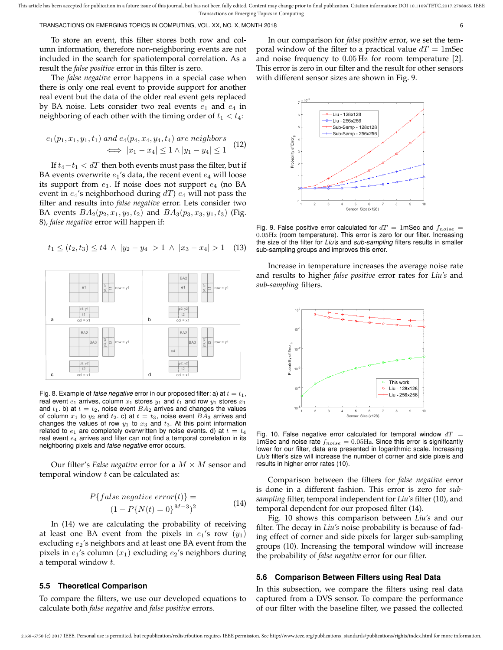TRANSACTIONS ON EMERGING TOPICS IN COMPUTING, VOL. XX, NO. X, MONTH 2018 6

To store an event, this filter stores both row and column information, therefore non-neighboring events are not included in the search for spatiotemporal correlation. As a result the *false positive* error in this filter is zero.

The *false negative* error happens in a special case when there is only one real event to provide support for another real event but the data of the older real event gets replaced by BA noise. Lets consider two real events  $e_1$  and  $e_4$  in neighboring of each other with the timing order of  $t_1 < t_4$ :

$$
e_1(p_1, x_1, y_1, t_1) \text{ and } e_4(p_4, x_4, y_4, t_4) \text{ are neighbors}
$$

$$
\iff |x_1 - x_4| \le 1 \land |y_1 - y_4| \le 1 \quad (12)
$$

If  $t_4-t_1 < dT$  then both events must pass the filter, but if BA events overwrite  $e_1$ 's data, the recent event  $e_4$  will loose its support from  $e_1$ . If noise does not support  $e_4$  (no BA event in  $e_4$ 's neighborhood during  $dT$ )  $e_4$  will not pass the filter and results into *false negative* error. Lets consider two BA events  $BA_2(p_2, x_1, y_2, t_2)$  and  $BA_3(p_3, x_3, y_1, t_3)$  (Fig. 8), *false negative* error will happen if:

$$
t_1 \le (t_2, t_3) \le t_4 \ \land \ |y_2 - y_4| > 1 \ \land \ |x_3 - x_4| > 1 \quad (13)
$$



Fig. 8. Example of *false negative* error in our proposed filter: a) at  $t = t_1$ , real event  $e_1$  arrives, column  $x_1$  stores  $y_1$  and  $t_1$  and row  $y_1$  stores  $x_1$ and  $t_1$ . b) at  $t = t_2$ , noise event  $BA_2$  arrives and changes the values of column  $x_1$  to  $y_2$  and  $t_2$ . c) at  $t = t_3$ , noise event  $BA_3$  arrives and changes the values of row  $y_1$  to  $x_3$  and  $t_3$ . At this point information related to  $e_1$  are completely overwritten by noise events. d) at  $t = t_4$ real event  $e_4$  arrives and filter can not find a temporal correlation in its neighboring pixels and *false negative* error occurs.

Our filter's *False negative* error for a  $M \times M$  sensor and temporal window  $t$  can be calculated as:

$$
P{false negative error(t)} =
$$
  

$$
(1 - P{N(t) = 0}^{M-3})^2
$$
 (14)

2168-6750 (c) 2017 IEEE. Personal use is permitted, but republication/redistribution requires IEEE permission. See http://www.ieee.org/publications\_standards/publications/rights/index.html for more information.

In (14) we are calculating the probability of receiving at least one BA event from the pixels in  $e_1$ 's row  $(y_1)$ excluding  $e_2$ 's neighbors and at least one BA event from the pixels in  $e_1$ 's column  $(x_1)$  excluding  $e_2$ 's neighbors during a temporal window t.

## **5.5 Theoretical Comparison**

To compare the filters, we use our developed equations to calculate both *false negative* and *false positive* errors.

In our comparison for *false positive* error, we set the temporal window of the filter to a practical value  $dT = 1$ mSec and noise frequency to 0.05 Hz for room temperature [2]. This error is zero in our filter and the result for other sensors with different sensor sizes are shown in Fig. 9.



Fig. 9. False positive error calculated for  $dT = 1$ mSec and  $f_{noise} =$ 0.05Hz (room temperature). This error is zero for our filter. Increasing the size of the filter for *Liu's* and *sub-sampling* filters results in smaller sub-sampling groups and improves this error.

Increase in temperature increases the average noise rate and results to higher *false positive* error rates for *Liu's* and *sub-sampling* filters.



Fig. 10. False negative error calculated for temporal window  $dT =$ 1mSec and noise rate  $f_{noise} = 0.05$ Hz. Since this error is significantly lower for our filter, data are presented in logarithmic scale. Increasing *Liu's* filter's size will increase the number of corner and side pixels and results in higher error rates (10).

Comparison between the filters for *false negative* error is done in a different fashion. This error is zero for *subsampling* filter, temporal independent for *Liu's* filter (10), and temporal dependent for our proposed filter (14).

Fig. 10 shows this comparison between *Liu's* and our filter. The decay in *Liu's* noise probability is because of fading effect of corner and side pixels for larger sub-sampling groups (10). Increasing the temporal window will increase the probability of *false negative* error for our filter.

## **5.6 Comparison Between Filters using Real Data**

In this subsection, we compare the filters using real data captured from a DVS sensor. To compare the performance of our filter with the baseline filter, we passed the collected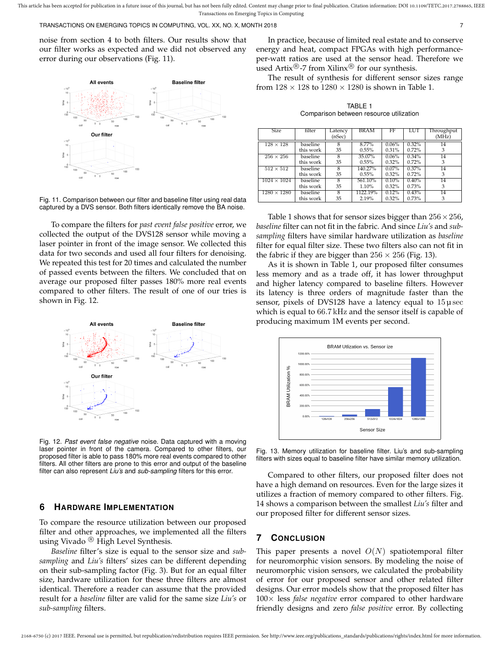TRANSACTIONS ON EMERGING TOPICS IN COMPUTING, VOL. XX, NO. X, MONTH 2018 7

noise from section 4 to both filters. Our results show that our filter works as expected and we did not observed any error during our observations (Fig. 11).



Fig. 11. Comparison between our filter and baseline filter using real data captured by a DVS sensor. Both filters identically remove the BA noise.

To compare the filters for *past event false positive* error, we collected the output of the DVS128 sensor while moving a laser pointer in front of the image sensor. We collected this data for two seconds and used all four filters for denoising. We repeated this test for 20 times and calculated the number of passed events between the filters. We concluded that on average our proposed filter passes 180% more real events compared to other filters. The result of one of our tries is shown in Fig. 12.



Fig. 12. *Past event false negative* noise. Data captured with a moving laser pointer in front of the camera. Compared to other filters, our proposed filter is able to pass 180% more real events compared to other filters. All other filters are prone to this error and output of the baseline filter can also represent *Liu's* and *sub-sampling* filters for this error.

## **6 HARDWARE IMPLEMENTATION**

To compare the resource utilization between our proposed filter and other approaches, we implemented all the filters using Vivado<sup>®</sup> High Level Synthesis.

*Baseline* filter's size is equal to the sensor size and *subsampling* and *Liu's* filters' sizes can be different depending on their sub-sampling factor (Fig. 3). But for an equal filter size, hardware utilization for these three filters are almost identical. Therefore a reader can assume that the provided result for a *baseline* filter are valid for the same size *Liu's* or *sub-sampling* filters.

In practice, because of limited real estate and to conserve energy and heat, compact FPGAs with high performanceper-watt ratios are used at the sensor head. Therefore we used Artix<sup>®</sup>-7 from Xilinx<sup>®</sup> for our synthesis.

The result of synthesis for different sensor sizes range from  $128 \times 128$  to  $1280 \times 1280$  is shown in Table 1.

TABLE 1 Comparison between resource utilization

| <b>Size</b>        | filter    | Latency<br>(nSec) | <b>BRAM</b> | FF       | LUT   | Throughput<br>(MHz) |
|--------------------|-----------|-------------------|-------------|----------|-------|---------------------|
| $128 \times 128$   | baseline  | 8                 | 8.77%       | 0.06%    | 0.32% | 14                  |
|                    | this work | 35                | 0.55%       | 0.31%    | 0.72% | 3                   |
| $256 \times 256$   | baseline  | $\overline{8}$    | 35.07%      | 0.06%    | 0.34% | 14                  |
|                    | this work | 35                | 0.55%       | 0.32%    | 0.72% | 3                   |
| $512 \times 512$   | baseline  | 8                 | 140.27%     | $0.07\%$ | 0.37% | 14                  |
|                    | this work | 35                | 0.55%       | 0.32%    | 0.72% | 3                   |
| $1024 \times 1024$ | baseline  | 8                 | 561.10%     | 0.10%    | 0.40% | 14                  |
|                    | this work | 35                | 1.10%       | 0.32%    | 0.73% | 3                   |
| $1280 \times 1280$ | baseline  | $\overline{8}$    | 1122.19%    | 0.12%    | 0.43% | 14                  |
|                    | this work | 35                | 2.19%       | 0.32%    | 0.73% | 3                   |

Table 1 shows that for sensor sizes bigger than  $256 \times 256$ , *baseline* filter can not fit in the fabric. And since *Liu's* and *subsampling* filters have similar hardware utilization as *baseline* filter for equal filter size. These two filters also can not fit in the fabric if they are bigger than  $256 \times 256$  (Fig. 13).

As it is shown in Table 1, our proposed filter consumes less memory and as a trade off, it has lower throughput and higher latency compared to baseline filters. However its latency is three orders of magnitude faster than the sensor, pixels of DVS128 have a latency equal to  $15 \mu$  sec which is equal to 66.7 kHz and the sensor itself is capable of producing maximum 1M events per second.



Fig. 13. Memory utilization for baseline filter. Liu's and sub-sampling filters with sizes equal to baseline filter have similar memory utilization.

Compared to other filters, our proposed filter does not have a high demand on resources. Even for the large sizes it utilizes a fraction of memory compared to other filters. Fig. 14 shows a comparison between the smallest *Liu's* filter and our proposed filter for different sensor sizes.

# **7 CONCLUSION**

This paper presents a novel  $O(N)$  spatiotemporal filter for neuromorphic vision sensors. By modeling the noise of neuromorphic vision sensors, we calculated the probability of error for our proposed sensor and other related filter designs. Our error models show that the proposed filter has 100× less *false negative* error compared to other hardware friendly designs and zero *false positive* error. By collecting